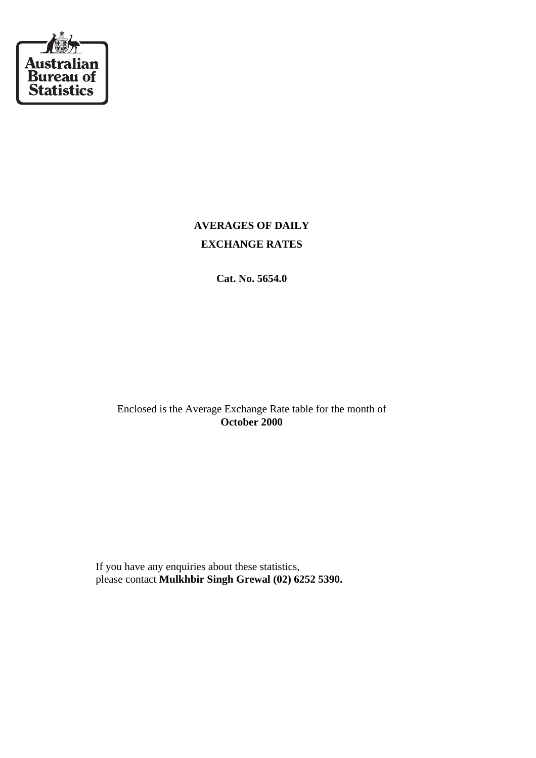

## **AVERAGES OF DAILY EXCHANGE RATES**

**Cat. No. 5654.0**

Enclosed is the Average Exchange Rate table for the month of **October 2000**

 If you have any enquiries about these statistics, please contact **Mulkhbir Singh Grewal (02) 6252 5390.**